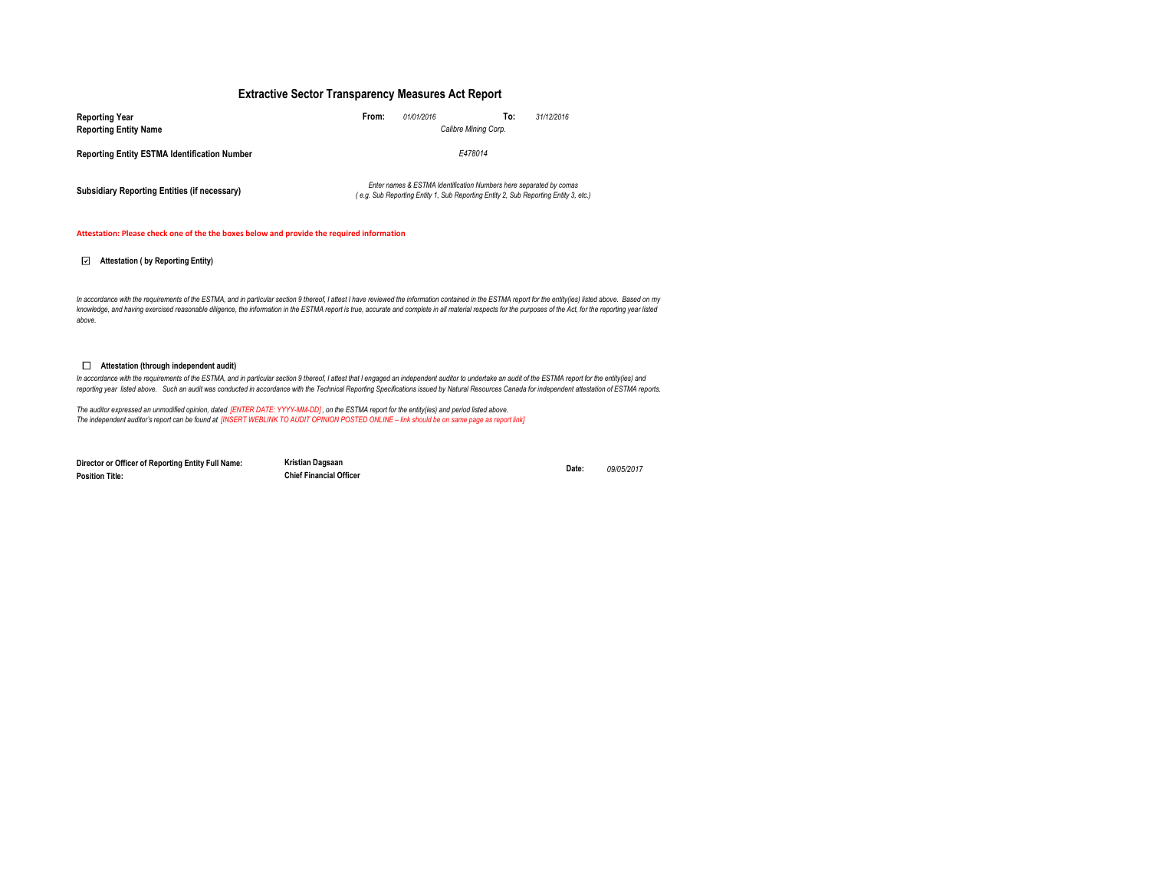### **Extractive Sector Transparency Measures Act Report**

| <b>Reporting Year</b>                               | From:<br>01/01/2016  | To:<br>31/12/2016                                                                                                                                         |  |  |  |
|-----------------------------------------------------|----------------------|-----------------------------------------------------------------------------------------------------------------------------------------------------------|--|--|--|
| <b>Reporting Entity Name</b>                        | Calibre Mining Corp. |                                                                                                                                                           |  |  |  |
| <b>Reporting Entity ESTMA Identification Number</b> | E478014              |                                                                                                                                                           |  |  |  |
| Subsidiary Reporting Entities (if necessary)        |                      | Enter names & ESTMA Identification Numbers here separated by comas<br>(e.g. Sub Reporting Entity 1, Sub Reporting Entity 2, Sub Reporting Entity 3, etc.) |  |  |  |

#### **Attestation: Please check one of the the boxes below and provide the required information**

### **Attestation ( by Reporting Entity)**

In accordance with the requirements of the ESTMA, and in particular section 9 thereof, I attest I have reviewed the information contained in the ESTMA report for the entity(ies) listed above. Based on my *knowledge, and having exercised reasonable diligence, the information in the ESTMA report is true, accurate and complete in all material respects for the purposes of the Act, for the reporting year listed above.* 

#### **Attestation (through independent audit)**

In accordance with the requirements of the ESTMA, and in particular section 9 thereof, I attest that I engaged an independent auditor to undertake an audit of the ESTMA report for the entity(ies) and *reporting year listed above. Such an audit was conducted in accordance with the Technical Reporting Specifications issued by Natural Resources Canada for independent attestation of ESTMA reports.* 

The auditor expressed an unmodified opinion, dated [ENTER DATE: YYYY-MM-DD], on the ESTMA report for the entity(ies) and period listed above.<br>The independent auditor's report can be found at [INSERT WEBLINK TO AUDIT OPINIO

**Director or Officer of Reporting Entity Full Name: Position Title:**

**Kristian Dagsaan Date:** *09/05/2017* **Chief Financial Officer**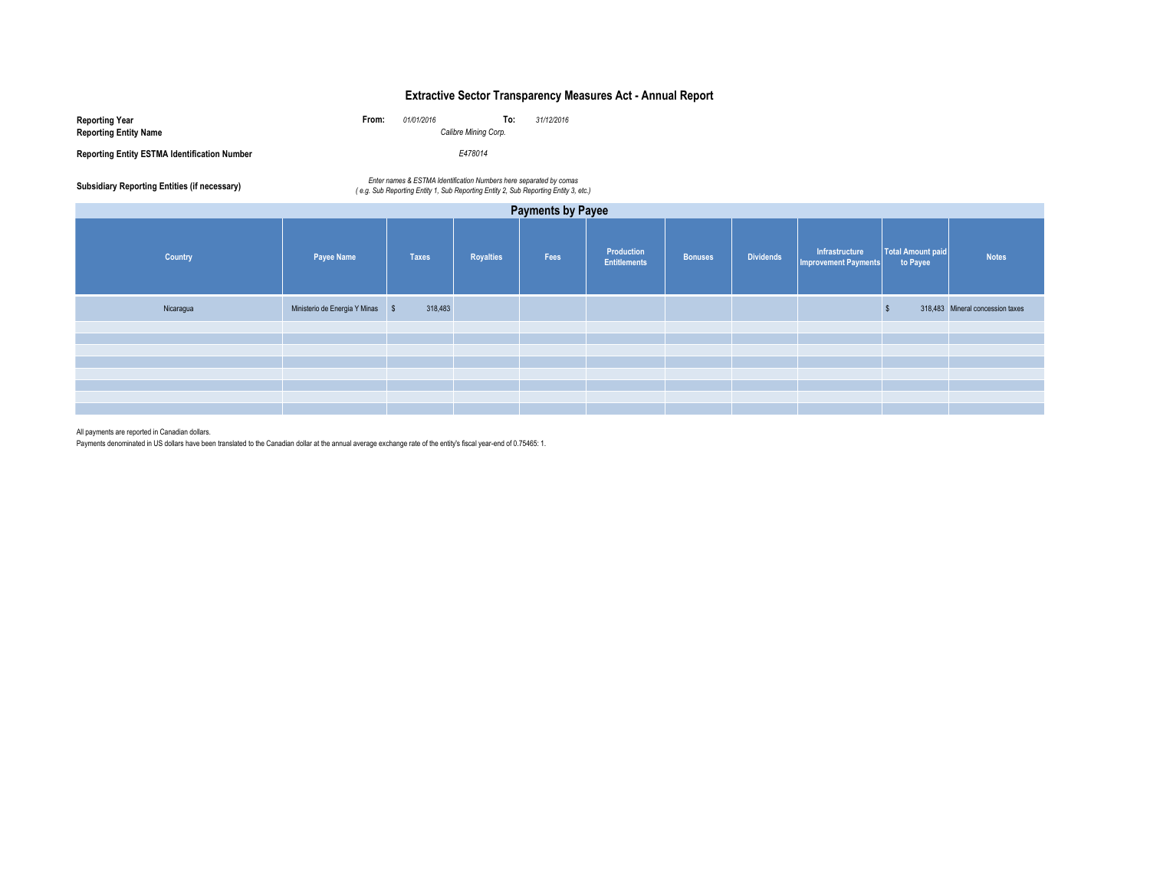# **Extractive Sector Transparency Measures Act - Annual Report**

| Reporting Year<br><b>Reporting Entity Name</b>      | From: | 01/01/2016<br>Calibre Mining Corp. | To: | 31/12/2016 |
|-----------------------------------------------------|-------|------------------------------------|-----|------------|
| <b>Reporting Entity ESTMA Identification Number</b> |       | E478014                            |     |            |

Enter names & ESTMA Identification Numbers here separated by comas<br>e.g. Sub Reporting Entity 1, Sub Reporting Entity 2, Sub Reporting Entity 2, Sub Reporting Entity 3, etc.)

| <b>Payments by Payee</b> |                                  |              |                  |      |                                   |                |                  |                                               |                               |                                  |
|--------------------------|----------------------------------|--------------|------------------|------|-----------------------------------|----------------|------------------|-----------------------------------------------|-------------------------------|----------------------------------|
| Country                  | <b>Payee Name</b>                | <b>Taxes</b> | <b>Royalties</b> | Fees | Production<br><b>Entitlements</b> | <b>Bonuses</b> | <b>Dividends</b> | Infrastructure<br><b>Improvement Payments</b> | Total Amount paid<br>to Payee | <b>Notes</b>                     |
| Nicaragua                | Ministerio de Energia Y Minas \$ | 318,483      |                  |      |                                   |                |                  |                                               |                               | 318,483 Mineral concession taxes |
|                          |                                  |              |                  |      |                                   |                |                  |                                               |                               |                                  |
|                          |                                  |              |                  |      |                                   |                |                  |                                               |                               |                                  |
|                          |                                  |              |                  |      |                                   |                |                  |                                               |                               |                                  |
|                          |                                  |              |                  |      |                                   |                |                  |                                               |                               |                                  |
|                          |                                  |              |                  |      |                                   |                |                  |                                               |                               |                                  |
|                          |                                  |              |                  |      |                                   |                |                  |                                               |                               |                                  |
|                          |                                  |              |                  |      |                                   |                |                  |                                               |                               |                                  |

All payments are reported in Canadian dollars.

Payments denominated in US dollars have been translated to the Canadian dollar at the annual average exchange rate of the entity's fiscal year-end of 0.75465: 1.